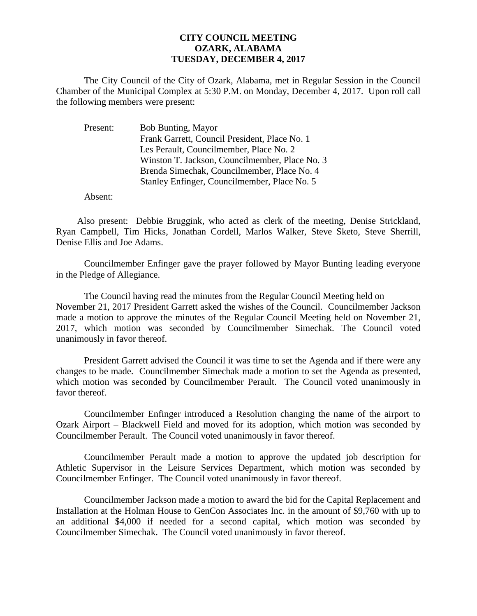## **CITY COUNCIL MEETING OZARK, ALABAMA TUESDAY, DECEMBER 4, 2017**

The City Council of the City of Ozark, Alabama, met in Regular Session in the Council Chamber of the Municipal Complex at 5:30 P.M. on Monday, December 4, 2017. Upon roll call the following members were present:

| <b>Bob Bunting, Mayor</b>                      |
|------------------------------------------------|
| Frank Garrett, Council President, Place No. 1  |
| Les Perault, Councilmember, Place No. 2        |
| Winston T. Jackson, Councilmember, Place No. 3 |
| Brenda Simechak, Councilmember, Place No. 4    |
| Stanley Enfinger, Councilmember, Place No. 5   |
|                                                |

Absent:

Also present: Debbie Bruggink, who acted as clerk of the meeting, Denise Strickland, Ryan Campbell, Tim Hicks, Jonathan Cordell, Marlos Walker, Steve Sketo, Steve Sherrill, Denise Ellis and Joe Adams.

Councilmember Enfinger gave the prayer followed by Mayor Bunting leading everyone in the Pledge of Allegiance.

The Council having read the minutes from the Regular Council Meeting held on November 21, 2017 President Garrett asked the wishes of the Council. Councilmember Jackson made a motion to approve the minutes of the Regular Council Meeting held on November 21, 2017, which motion was seconded by Councilmember Simechak. The Council voted unanimously in favor thereof.

President Garrett advised the Council it was time to set the Agenda and if there were any changes to be made. Councilmember Simechak made a motion to set the Agenda as presented, which motion was seconded by Councilmember Perault. The Council voted unanimously in favor thereof.

Councilmember Enfinger introduced a Resolution changing the name of the airport to Ozark Airport – Blackwell Field and moved for its adoption, which motion was seconded by Councilmember Perault. The Council voted unanimously in favor thereof.

Councilmember Perault made a motion to approve the updated job description for Athletic Supervisor in the Leisure Services Department, which motion was seconded by Councilmember Enfinger. The Council voted unanimously in favor thereof.

Councilmember Jackson made a motion to award the bid for the Capital Replacement and Installation at the Holman House to GenCon Associates Inc. in the amount of \$9,760 with up to an additional \$4,000 if needed for a second capital, which motion was seconded by Councilmember Simechak. The Council voted unanimously in favor thereof.